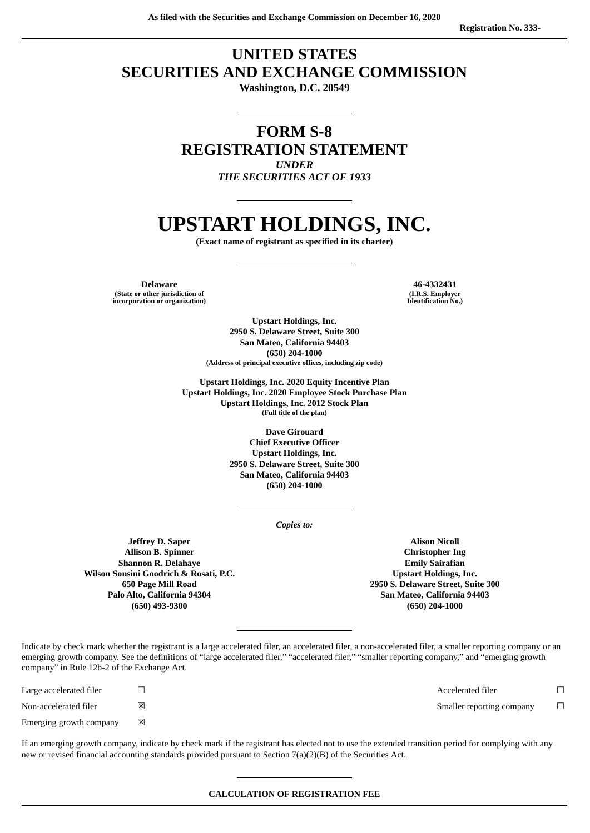### **UNITED STATES SECURITIES AND EXCHANGE COMMISSION**

**Washington, D.C. 20549**

### **FORM S-8 REGISTRATION STATEMENT** *UNDER*

*THE SECURITIES ACT OF 1933*

# **UPSTART HOLDINGS, INC.**

**(Exact name of registrant as specified in its charter)**

**Delaware 46-4332431 (State or other jurisdiction of incorporation or organization)**

**(I.R.S. Employer Identification No.)**

**Upstart Holdings, Inc. 2950 S. Delaware Street, Suite 300 San Mateo, California 94403 (650) 204-1000 (Address of principal executive offices, including zip code)**

**Upstart Holdings, Inc. 2020 Equity Incentive Plan Upstart Holdings, Inc. 2020 Employee Stock Purchase Plan Upstart Holdings, Inc. 2012 Stock Plan (Full title of the plan)**

> **Dave Girouard Chief Executive Officer Upstart Holdings, Inc. 2950 S. Delaware Street, Suite 300 San Mateo, California 94403 (650) 204-1000**

> > *Copies to:*

**Jeffrey D. Saper Allison B. Spinner Shannon R. Delahaye Wilson Sonsini Goodrich & Rosati, P.C. 650 Page Mill Road Palo Alto, California 94304 (650) 493-9300**

**Alison Nicoll Christopher Ing Emily Sairafian Upstart Holdings, Inc. 2950 S. Delaware Street, Suite 300 San Mateo, California 94403 (650) 204-1000**

Indicate by check mark whether the registrant is a large accelerated filer, an accelerated filer, a non-accelerated filer, a smaller reporting company or an emerging growth company. See the definitions of "large accelerated filer," "accelerated filer," "smaller reporting company," and "emerging growth company" in Rule 12b-2 of the Exchange Act.

| Large accelerated filer | П |
|-------------------------|---|
| Non-accelerated filer   | ⊠ |
| Emerging growth company | ⊠ |

Accelerated filer **□** Smaller reporting company  $\Box$ 

If an emerging growth company, indicate by check mark if the registrant has elected not to use the extended transition period for complying with any new or revised financial accounting standards provided pursuant to Section 7(a)(2)(B) of the Securities Act.

#### **CALCULATION OF REGISTRATION FEE**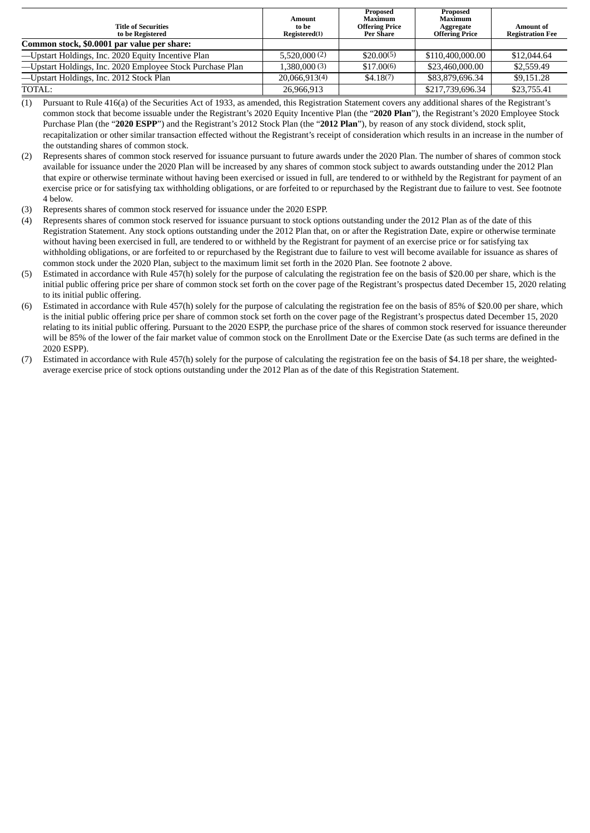| <b>Title of Securities</b><br>to be Registered            | <b>Amount</b><br>to be<br>Registered(1) | Proposed<br>Maximum<br><b>Offering Price</b><br><b>Per Share</b> | Proposed<br>Maximum<br>Aggregate<br><b>Offering Price</b> | <b>Amount of</b><br><b>Registration Fee</b> |
|-----------------------------------------------------------|-----------------------------------------|------------------------------------------------------------------|-----------------------------------------------------------|---------------------------------------------|
| Common stock, \$0.0001 par value per share:               |                                         |                                                                  |                                                           |                                             |
| -Upstart Holdings, Inc. 2020 Equity Incentive Plan        | 5,520,000(2)                            | \$20.00(5)                                                       | \$110,400,000.00                                          | \$12,044.64                                 |
| -Upstart Holdings, Inc. 2020 Employee Stock Purchase Plan | 1,380,000 (3)                           | \$17,00(6)                                                       | \$23,460,000.00                                           | \$2,559.49                                  |
| -Upstart Holdings, Inc. 2012 Stock Plan                   | 20.066.913(4)                           | \$4.18(7)                                                        | \$83,879,696,34                                           | \$9,151.28                                  |
| TOTAL:                                                    | 26,966,913                              |                                                                  | \$217,739,696.34                                          | \$23,755.41                                 |

(1) Pursuant to Rule 416(a) of the Securities Act of 1933, as amended, this Registration Statement covers any additional shares of the Registrant's common stock that become issuable under the Registrant's 2020 Equity Incentive Plan (the "**2020 Plan**"), the Registrant's 2020 Employee Stock Purchase Plan (the "**2020 ESPP**") and the Registrant's 2012 Stock Plan (the "**2012 Plan**"), by reason of any stock dividend, stock split, recapitalization or other similar transaction effected without the Registrant's receipt of consideration which results in an increase in the number of the outstanding shares of common stock.

- (2) Represents shares of common stock reserved for issuance pursuant to future awards under the 2020 Plan. The number of shares of common stock available for issuance under the 2020 Plan will be increased by any shares of common stock subject to awards outstanding under the 2012 Plan that expire or otherwise terminate without having been exercised or issued in full, are tendered to or withheld by the Registrant for payment of an exercise price or for satisfying tax withholding obligations, or are forfeited to or repurchased by the Registrant due to failure to vest. See footnote 4 below.
- (3) Represents shares of common stock reserved for issuance under the 2020 ESPP.
- (4) Represents shares of common stock reserved for issuance pursuant to stock options outstanding under the 2012 Plan as of the date of this Registration Statement. Any stock options outstanding under the 2012 Plan that, on or after the Registration Date, expire or otherwise terminate without having been exercised in full, are tendered to or withheld by the Registrant for payment of an exercise price or for satisfying tax withholding obligations, or are forfeited to or repurchased by the Registrant due to failure to vest will become available for issuance as shares of common stock under the 2020 Plan, subject to the maximum limit set forth in the 2020 Plan. See footnote 2 above.
- (5) Estimated in accordance with Rule 457(h) solely for the purpose of calculating the registration fee on the basis of \$20.00 per share, which is the initial public offering price per share of common stock set forth on the cover page of the Registrant's prospectus dated December 15, 2020 relating to its initial public offering.
- (6) Estimated in accordance with Rule 457(h) solely for the purpose of calculating the registration fee on the basis of 85% of \$20.00 per share, which is the initial public offering price per share of common stock set forth on the cover page of the Registrant's prospectus dated December 15, 2020 relating to its initial public offering. Pursuant to the 2020 ESPP, the purchase price of the shares of common stock reserved for issuance thereunder will be 85% of the lower of the fair market value of common stock on the Enrollment Date or the Exercise Date (as such terms are defined in the 2020 ESPP).
- (7) Estimated in accordance with Rule 457(h) solely for the purpose of calculating the registration fee on the basis of \$4.18 per share, the weightedaverage exercise price of stock options outstanding under the 2012 Plan as of the date of this Registration Statement.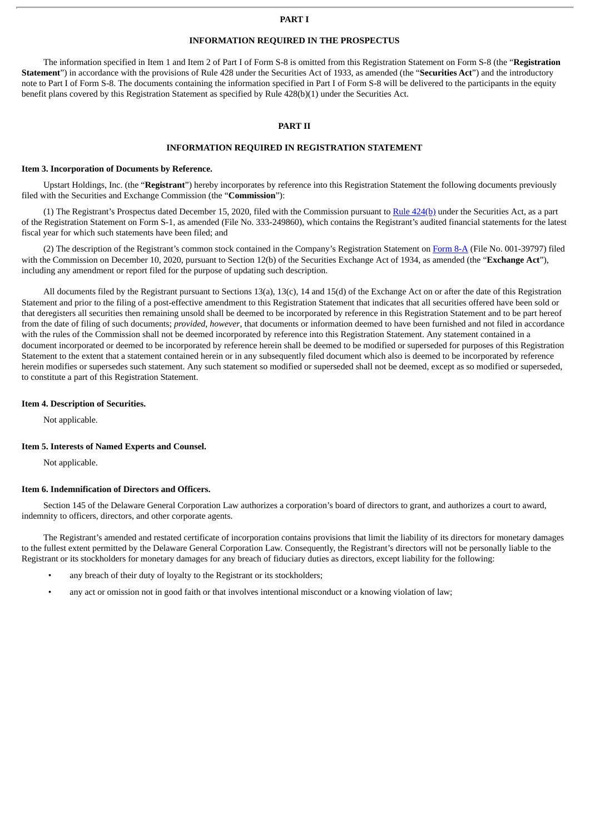#### **PART I**

#### **INFORMATION REQUIRED IN THE PROSPECTUS**

The information specified in Item 1 and Item 2 of Part I of Form S-8 is omitted from this Registration Statement on Form S-8 (the "**Registration Statement**") in accordance with the provisions of Rule 428 under the Securities Act of 1933, as amended (the "**Securities Act**") and the introductory note to Part I of Form S-8. The documents containing the information specified in Part I of Form S-8 will be delivered to the participants in the equity benefit plans covered by this Registration Statement as specified by Rule 428(b)(1) under the Securities Act.

#### **PART II**

#### **INFORMATION REQUIRED IN REGISTRATION STATEMENT**

#### **Item 3. Incorporation of Documents by Reference.**

Upstart Holdings, Inc. (the "**Registrant**") hereby incorporates by reference into this Registration Statement the following documents previously filed with the Securities and Exchange Commission (the "**Commission**"):

(1) The Registrant's Prospectus dated December 15, 2020, filed with the Commission pursuant to Rule  $424(b)$  under the Securities Act, as a part of the Registration Statement on Form S-1, as amended (File No. 333-249860), which contains the Registrant's audited financial statements for the latest fiscal year for which such statements have been filed; and

(2) The description of the Registrant's common stock contained in the Company's Registration Statement on [Form](http://www.sec.gov/Archives/edgar/data/1647639/000119312520314763/d85190d8a12b.htm) 8-A (File No. 001-39797) filed with the Commission on December 10, 2020, pursuant to Section 12(b) of the Securities Exchange Act of 1934, as amended (the "**Exchange Act**"), including any amendment or report filed for the purpose of updating such description.

All documents filed by the Registrant pursuant to Sections 13(a), 13(c), 14 and 15(d) of the Exchange Act on or after the date of this Registration Statement and prior to the filing of a post-effective amendment to this Registration Statement that indicates that all securities offered have been sold or that deregisters all securities then remaining unsold shall be deemed to be incorporated by reference in this Registration Statement and to be part hereof from the date of filing of such documents; *provided*, *however*, that documents or information deemed to have been furnished and not filed in accordance with the rules of the Commission shall not be deemed incorporated by reference into this Registration Statement. Any statement contained in a document incorporated or deemed to be incorporated by reference herein shall be deemed to be modified or superseded for purposes of this Registration Statement to the extent that a statement contained herein or in any subsequently filed document which also is deemed to be incorporated by reference herein modifies or supersedes such statement. Any such statement so modified or superseded shall not be deemed, except as so modified or superseded, to constitute a part of this Registration Statement.

#### **Item 4. Description of Securities.**

Not applicable.

#### **Item 5. Interests of Named Experts and Counsel.**

Not applicable.

#### **Item 6. Indemnification of Directors and Officers.**

Section 145 of the Delaware General Corporation Law authorizes a corporation's board of directors to grant, and authorizes a court to award, indemnity to officers, directors, and other corporate agents.

The Registrant's amended and restated certificate of incorporation contains provisions that limit the liability of its directors for monetary damages to the fullest extent permitted by the Delaware General Corporation Law. Consequently, the Registrant's directors will not be personally liable to the Registrant or its stockholders for monetary damages for any breach of fiduciary duties as directors, except liability for the following:

- any breach of their duty of loyalty to the Registrant or its stockholders;
- any act or omission not in good faith or that involves intentional misconduct or a knowing violation of law;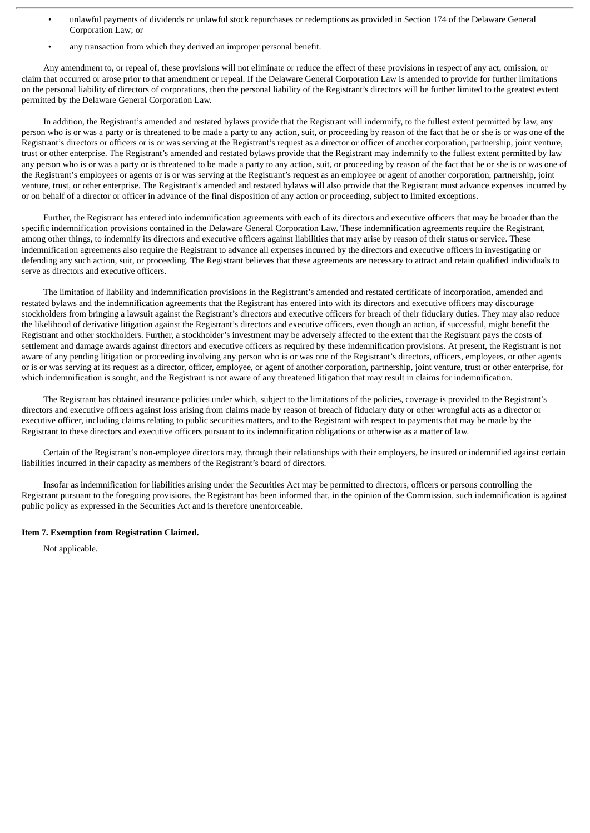- unlawful payments of dividends or unlawful stock repurchases or redemptions as provided in Section 174 of the Delaware General Corporation Law; or
- any transaction from which they derived an improper personal benefit.

Any amendment to, or repeal of, these provisions will not eliminate or reduce the effect of these provisions in respect of any act, omission, or claim that occurred or arose prior to that amendment or repeal. If the Delaware General Corporation Law is amended to provide for further limitations on the personal liability of directors of corporations, then the personal liability of the Registrant's directors will be further limited to the greatest extent permitted by the Delaware General Corporation Law.

In addition, the Registrant's amended and restated bylaws provide that the Registrant will indemnify, to the fullest extent permitted by law, any person who is or was a party or is threatened to be made a party to any action, suit, or proceeding by reason of the fact that he or she is or was one of the Registrant's directors or officers or is or was serving at the Registrant's request as a director or officer of another corporation, partnership, joint venture, trust or other enterprise. The Registrant's amended and restated bylaws provide that the Registrant may indemnify to the fullest extent permitted by law any person who is or was a party or is threatened to be made a party to any action, suit, or proceeding by reason of the fact that he or she is or was one of the Registrant's employees or agents or is or was serving at the Registrant's request as an employee or agent of another corporation, partnership, joint venture, trust, or other enterprise. The Registrant's amended and restated bylaws will also provide that the Registrant must advance expenses incurred by or on behalf of a director or officer in advance of the final disposition of any action or proceeding, subject to limited exceptions.

Further, the Registrant has entered into indemnification agreements with each of its directors and executive officers that may be broader than the specific indemnification provisions contained in the Delaware General Corporation Law. These indemnification agreements require the Registrant, among other things, to indemnify its directors and executive officers against liabilities that may arise by reason of their status or service. These indemnification agreements also require the Registrant to advance all expenses incurred by the directors and executive officers in investigating or defending any such action, suit, or proceeding. The Registrant believes that these agreements are necessary to attract and retain qualified individuals to serve as directors and executive officers.

The limitation of liability and indemnification provisions in the Registrant's amended and restated certificate of incorporation, amended and restated bylaws and the indemnification agreements that the Registrant has entered into with its directors and executive officers may discourage stockholders from bringing a lawsuit against the Registrant's directors and executive officers for breach of their fiduciary duties. They may also reduce the likelihood of derivative litigation against the Registrant's directors and executive officers, even though an action, if successful, might benefit the Registrant and other stockholders. Further, a stockholder's investment may be adversely affected to the extent that the Registrant pays the costs of settlement and damage awards against directors and executive officers as required by these indemnification provisions. At present, the Registrant is not aware of any pending litigation or proceeding involving any person who is or was one of the Registrant's directors, officers, employees, or other agents or is or was serving at its request as a director, officer, employee, or agent of another corporation, partnership, joint venture, trust or other enterprise, for which indemnification is sought, and the Registrant is not aware of any threatened litigation that may result in claims for indemnification.

The Registrant has obtained insurance policies under which, subject to the limitations of the policies, coverage is provided to the Registrant's directors and executive officers against loss arising from claims made by reason of breach of fiduciary duty or other wrongful acts as a director or executive officer, including claims relating to public securities matters, and to the Registrant with respect to payments that may be made by the Registrant to these directors and executive officers pursuant to its indemnification obligations or otherwise as a matter of law.

Certain of the Registrant's non-employee directors may, through their relationships with their employers, be insured or indemnified against certain liabilities incurred in their capacity as members of the Registrant's board of directors.

Insofar as indemnification for liabilities arising under the Securities Act may be permitted to directors, officers or persons controlling the Registrant pursuant to the foregoing provisions, the Registrant has been informed that, in the opinion of the Commission, such indemnification is against public policy as expressed in the Securities Act and is therefore unenforceable.

#### **Item 7. Exemption from Registration Claimed.**

Not applicable.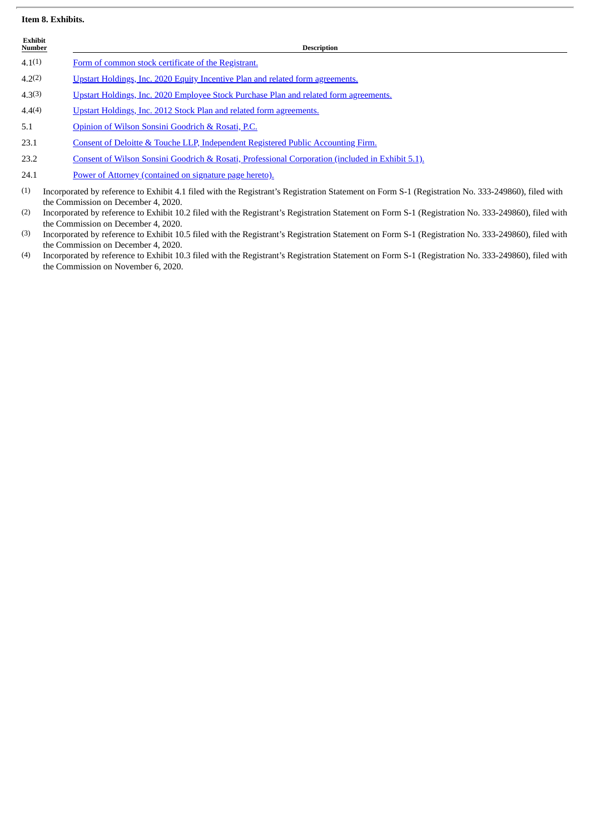#### **Item 8. Exhibits.**

| Exhibit<br><b>Number</b> | <b>Description</b>                                                                                              |
|--------------------------|-----------------------------------------------------------------------------------------------------------------|
| 4.1(1)                   | Form of common stock certificate of the Registrant.                                                             |
| 4.2(2)                   | Upstart Holdings, Inc. 2020 Equity Incentive Plan and related form agreements.                                  |
| 4.3(3)                   | Upstart Holdings, Inc. 2020 Employee Stock Purchase Plan and related form agreements.                           |
| 4.4(4)                   | Upstart Holdings, Inc. 2012 Stock Plan and related form agreements.                                             |
| 5.1                      | Opinion of Wilson Sonsini Goodrich & Rosati, P.C.                                                               |
| 23.1                     | Consent of Deloitte & Touche LLP, Independent Registered Public Accounting Firm.                                |
| 23.2                     | Consent of Wilson Sonsini Goodrich & Rosati, Professional Corporation (included in Exhibit 5.1).                |
| .                        | the contract of the contract of the contract of the contract of the contract of the contract of the contract of |

24.1 Power of Attorney [\(contained](#page-6-0) on signature page hereto).

(1) Incorporated by reference to Exhibit 4.1 filed with the Registrant's Registration Statement on Form S-1 (Registration No. 333-249860), filed with the Commission on December 4, 2020.

(2) Incorporated by reference to Exhibit 10.2 filed with the Registrant's Registration Statement on Form S-1 (Registration No. 333-249860), filed with the Commission on December 4, 2020.

(3) Incorporated by reference to Exhibit 10.5 filed with the Registrant's Registration Statement on Form S-1 (Registration No. 333-249860), filed with the Commission on December 4, 2020.

(4) Incorporated by reference to Exhibit 10.3 filed with the Registrant's Registration Statement on Form S-1 (Registration No. 333-249860), filed with the Commission on November 6, 2020.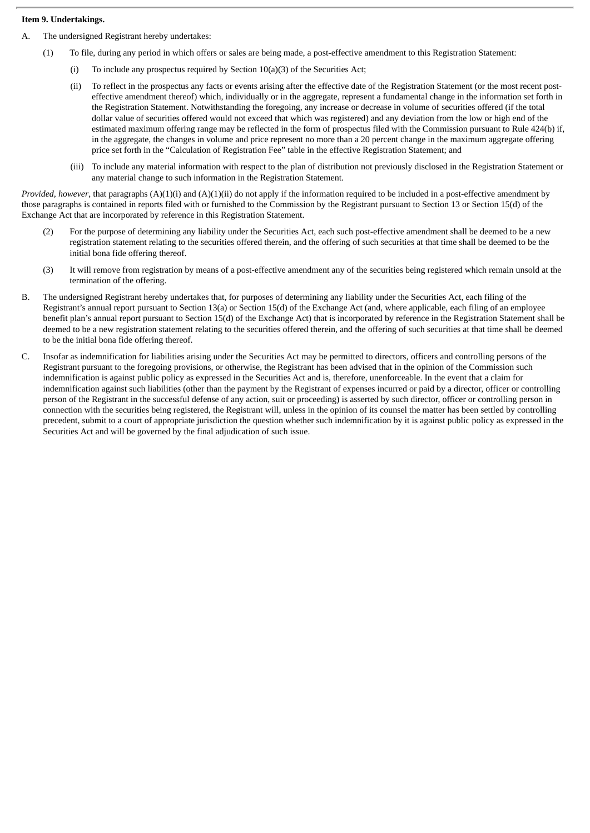#### **Item 9. Undertakings.**

- A. The undersigned Registrant hereby undertakes:
	- (1) To file, during any period in which offers or sales are being made, a post-effective amendment to this Registration Statement:
		- (i) To include any prospectus required by Section 10(a)(3) of the Securities Act;
		- (ii) To reflect in the prospectus any facts or events arising after the effective date of the Registration Statement (or the most recent posteffective amendment thereof) which, individually or in the aggregate, represent a fundamental change in the information set forth in the Registration Statement. Notwithstanding the foregoing, any increase or decrease in volume of securities offered (if the total dollar value of securities offered would not exceed that which was registered) and any deviation from the low or high end of the estimated maximum offering range may be reflected in the form of prospectus filed with the Commission pursuant to Rule 424(b) if, in the aggregate, the changes in volume and price represent no more than a 20 percent change in the maximum aggregate offering price set forth in the "Calculation of Registration Fee" table in the effective Registration Statement; and
		- (iii) To include any material information with respect to the plan of distribution not previously disclosed in the Registration Statement or any material change to such information in the Registration Statement.

*Provided, however*, that paragraphs (A)(1)(i) and (A)(1)(ii) do not apply if the information required to be included in a post-effective amendment by those paragraphs is contained in reports filed with or furnished to the Commission by the Registrant pursuant to Section 13 or Section 15(d) of the Exchange Act that are incorporated by reference in this Registration Statement.

- (2) For the purpose of determining any liability under the Securities Act, each such post-effective amendment shall be deemed to be a new registration statement relating to the securities offered therein, and the offering of such securities at that time shall be deemed to be the initial bona fide offering thereof.
- (3) It will remove from registration by means of a post-effective amendment any of the securities being registered which remain unsold at the termination of the offering.
- B. The undersigned Registrant hereby undertakes that, for purposes of determining any liability under the Securities Act, each filing of the Registrant's annual report pursuant to Section 13(a) or Section 15(d) of the Exchange Act (and, where applicable, each filing of an employee benefit plan's annual report pursuant to Section 15(d) of the Exchange Act) that is incorporated by reference in the Registration Statement shall be deemed to be a new registration statement relating to the securities offered therein, and the offering of such securities at that time shall be deemed to be the initial bona fide offering thereof.
- C. Insofar as indemnification for liabilities arising under the Securities Act may be permitted to directors, officers and controlling persons of the Registrant pursuant to the foregoing provisions, or otherwise, the Registrant has been advised that in the opinion of the Commission such indemnification is against public policy as expressed in the Securities Act and is, therefore, unenforceable. In the event that a claim for indemnification against such liabilities (other than the payment by the Registrant of expenses incurred or paid by a director, officer or controlling person of the Registrant in the successful defense of any action, suit or proceeding) is asserted by such director, officer or controlling person in connection with the securities being registered, the Registrant will, unless in the opinion of its counsel the matter has been settled by controlling precedent, submit to a court of appropriate jurisdiction the question whether such indemnification by it is against public policy as expressed in the Securities Act and will be governed by the final adjudication of such issue.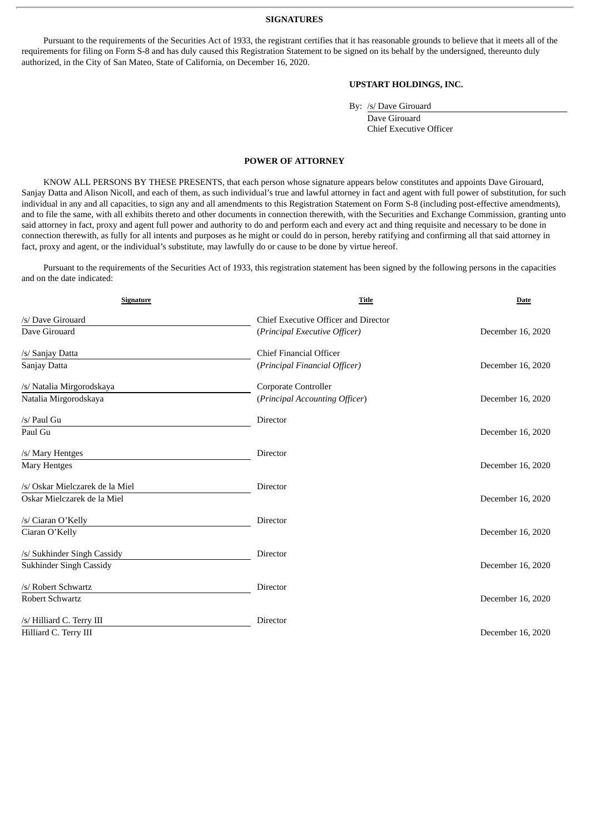#### **SIGNATURES**

<span id="page-6-0"></span>Pursuant to the requirements of the Securities Act of 1933, the registrant certifies that it has reasonable grounds to believe that it meets all of the requirements for filing on Form S-8 and has duly caused this Registration Statement to be signed on its behalf by the undersigned, thereunto duly authorized, in the City of San Mateo, State of California, on December 16, 2020.

#### **UPSTART HOLDINGS, INC.**

By: /s/ Dave Girouard

Dave Girouard Chief Executive Officer

#### **POWER OF ATTORNEY**

KNOW ALL PERSONS BY THESE PRESENTS, that each person whose signature appears below constitutes and appoints Dave Girouard, Sanjay Datta and Alison Nicoll, and each of them, as such individual's true and lawful attorney in fact and agent with full power of substitution, for such individual in any and all capacities, to sign any and all amendments to this Registration Statement on Form S-8 (including post-effective amendments), and to file the same, with all exhibits thereto and other documents in connection therewith, with the Securities and Exchange Commission, granting unto said attorney in fact, proxy and agent full power and authority to do and perform each and every act and thing requisite and necessary to be done in connection therewith, as fully for all intents and purposes as he might or could do in person, hereby ratifying and confirming all that said attorney in fact, proxy and agent, or the individual's substitute, may lawfully do or cause to be done by virtue hereof.

Pursuant to the requirements of the Securities Act of 1933, this registration statement has been signed by the following persons in the capacities and on the date indicated:

| <b>Signature</b>                | <b>Title</b>                         | Date              |
|---------------------------------|--------------------------------------|-------------------|
| /s/ Dave Girouard               | Chief Executive Officer and Director |                   |
| Dave Girouard                   | (Principal Executive Officer)        | December 16, 2020 |
| /s/ Sanjay Datta                | <b>Chief Financial Officer</b>       |                   |
| Sanjay Datta                    | (Principal Financial Officer)        | December 16, 2020 |
| /s/ Natalia Mirgorodskaya       | Corporate Controller                 |                   |
| Natalia Mirgorodskaya           | (Principal Accounting Officer)       | December 16, 2020 |
| /s/ Paul Gu                     | <b>Director</b>                      |                   |
| Paul Gu                         |                                      | December 16, 2020 |
| /s/ Mary Hentges                | <b>Director</b>                      |                   |
| <b>Mary Hentges</b>             |                                      | December 16, 2020 |
| /s/ Oskar Mielczarek de la Miel | <b>Director</b>                      |                   |
| Oskar Mielczarek de la Miel     |                                      | December 16, 2020 |
| /s/ Ciaran O'Kelly              | <b>Director</b>                      |                   |
| Ciaran O'Kelly                  |                                      | December 16, 2020 |
| /s/ Sukhinder Singh Cassidy     | Director                             |                   |
| Sukhinder Singh Cassidy         |                                      | December 16, 2020 |
| /s/ Robert Schwartz             | <b>Director</b>                      |                   |
| Robert Schwartz                 |                                      | December 16, 2020 |
| /s/ Hilliard C. Terry III       | Director                             |                   |
| Hilliard C. Terry III           |                                      | December 16, 2020 |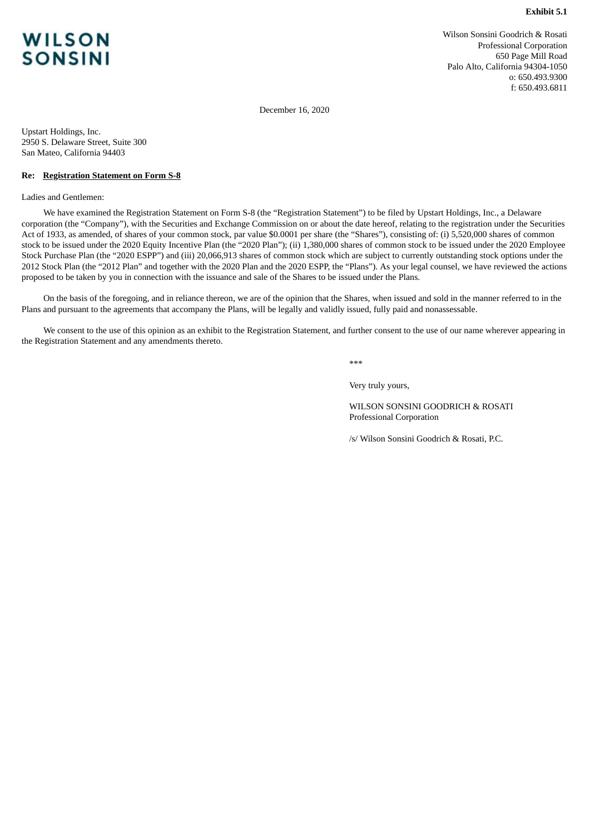#### **Exhibit 5.1**

## <span id="page-7-0"></span>WILSON **SONSINI**

Wilson Sonsini Goodrich & Rosati Professional Corporation 650 Page Mill Road Palo Alto, California 94304-1050 o: 650.493.9300 f: 650.493.6811

December 16, 2020

Upstart Holdings, Inc. 2950 S. Delaware Street, Suite 300 San Mateo, California 94403

#### **Re: Registration Statement on Form S-8**

Ladies and Gentlemen:

We have examined the Registration Statement on Form S-8 (the "Registration Statement") to be filed by Upstart Holdings, Inc., a Delaware corporation (the "Company"), with the Securities and Exchange Commission on or about the date hereof, relating to the registration under the Securities Act of 1933, as amended, of shares of your common stock, par value \$0.0001 per share (the "Shares"), consisting of: (i) 5,520,000 shares of common stock to be issued under the 2020 Equity Incentive Plan (the "2020 Plan"); (ii) 1,380,000 shares of common stock to be issued under the 2020 Employee Stock Purchase Plan (the "2020 ESPP") and (iii) 20,066,913 shares of common stock which are subject to currently outstanding stock options under the 2012 Stock Plan (the "2012 Plan" and together with the 2020 Plan and the 2020 ESPP, the "Plans"). As your legal counsel, we have reviewed the actions proposed to be taken by you in connection with the issuance and sale of the Shares to be issued under the Plans.

On the basis of the foregoing, and in reliance thereon, we are of the opinion that the Shares, when issued and sold in the manner referred to in the Plans and pursuant to the agreements that accompany the Plans, will be legally and validly issued, fully paid and nonassessable.

We consent to the use of this opinion as an exhibit to the Registration Statement, and further consent to the use of our name wherever appearing in the Registration Statement and any amendments thereto.

\*\*\*

Very truly yours,

WILSON SONSINI GOODRICH & ROSATI Professional Corporation

/s/ Wilson Sonsini Goodrich & Rosati, P.C.